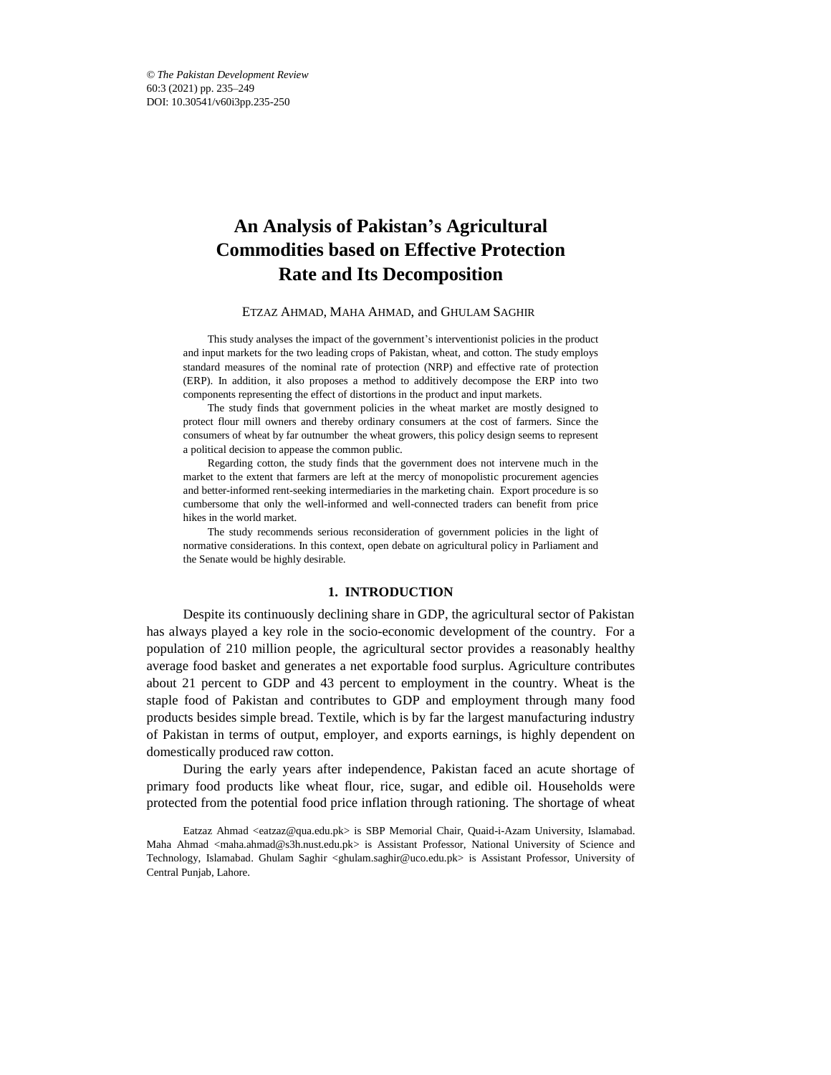# **An Analysis of Pakistan's Agricultural Commodities based on Effective Protection Rate and Its Decomposition**

#### ETZAZ AHMAD, MAHA AHMAD, and GHULAM SAGHIR\*

This study analyses the impact of the government's interventionist policies in the product and input markets for the two leading crops of Pakistan, wheat, and cotton. The study employs standard measures of the nominal rate of protection (NRP) and effective rate of protection (ERP). In addition, it also proposes a method to additively decompose the ERP into two components representing the effect of distortions in the product and input markets.

The study finds that government policies in the wheat market are mostly designed to protect flour mill owners and thereby ordinary consumers at the cost of farmers. Since the consumers of wheat by far outnumber the wheat growers, this policy design seems to represent a political decision to appease the common public.

Regarding cotton, the study finds that the government does not intervene much in the market to the extent that farmers are left at the mercy of monopolistic procurement agencies and better-informed rent-seeking intermediaries in the marketing chain. Export procedure is so cumbersome that only the well-informed and well-connected traders can benefit from price hikes in the world market.

The study recommends serious reconsideration of government policies in the light of normative considerations. In this context, open debate on agricultural policy in Parliament and the Senate would be highly desirable.

#### **1. INTRODUCTION**

Despite its continuously declining share in GDP, the agricultural sector of Pakistan has always played a key role in the socio-economic development of the country. For a population of 210 million people, the agricultural sector provides a reasonably healthy average food basket and generates a net exportable food surplus. Agriculture contributes about 21 percent to GDP and 43 percent to employment in the country. Wheat is the staple food of Pakistan and contributes to GDP and employment through many food products besides simple bread. Textile, which is by far the largest manufacturing industry of Pakistan in terms of output, employer, and exports earnings, is highly dependent on domestically produced raw cotton.

During the early years after independence, Pakistan faced an acute shortage of primary food products like wheat flour, rice, sugar, and edible oil. Households were protected from the potential food price inflation through rationing. The shortage of wheat

Eatzaz Ahmad <eatzaz@qua.edu.pk> is SBP Memorial Chair, Quaid-i-Azam University, Islamabad. Maha Ahmad <maha.ahmad@s3h.nust.edu.pk> is Assistant Professor, National University of Science and Technology, Islamabad. Ghulam Saghir <ghulam.saghir@uco.edu.pk> is Assistant Professor, University of Central Punjab, Lahore.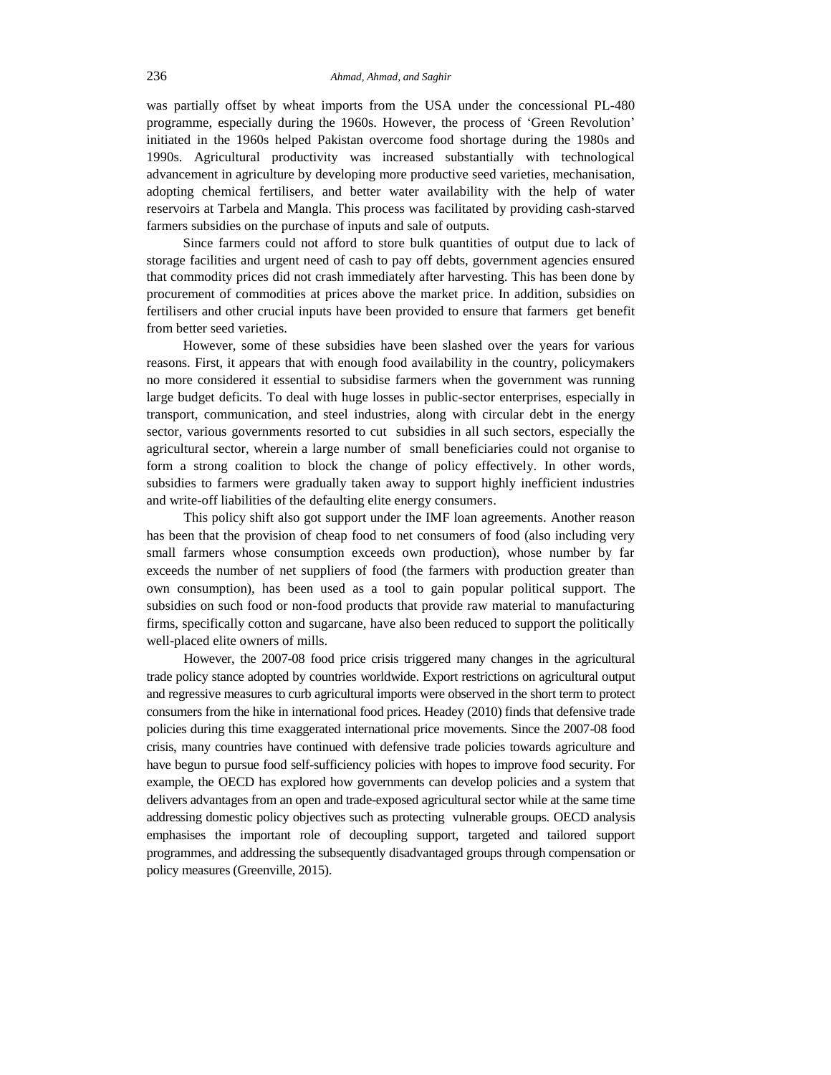was partially offset by wheat imports from the USA under the concessional PL-480 programme, especially during the 1960s. However, the process of 'Green Revolution' initiated in the 1960s helped Pakistan overcome food shortage during the 1980s and 1990s. Agricultural productivity was increased substantially with technological advancement in agriculture by developing more productive seed varieties, mechanisation, adopting chemical fertilisers, and better water availability with the help of water reservoirs at Tarbela and Mangla. This process was facilitated by providing cash-starved farmers subsidies on the purchase of inputs and sale of outputs.

Since farmers could not afford to store bulk quantities of output due to lack of storage facilities and urgent need of cash to pay off debts, government agencies ensured that commodity prices did not crash immediately after harvesting. This has been done by procurement of commodities at prices above the market price. In addition, subsidies on fertilisers and other crucial inputs have been provided to ensure that farmers get benefit from better seed varieties.

However, some of these subsidies have been slashed over the years for various reasons. First, it appears that with enough food availability in the country, policymakers no more considered it essential to subsidise farmers when the government was running large budget deficits. To deal with huge losses in public-sector enterprises, especially in transport, communication, and steel industries, along with circular debt in the energy sector, various governments resorted to cut subsidies in all such sectors, especially the agricultural sector, wherein a large number of small beneficiaries could not organise to form a strong coalition to block the change of policy effectively. In other words, subsidies to farmers were gradually taken away to support highly inefficient industries and write-off liabilities of the defaulting elite energy consumers.

This policy shift also got support under the IMF loan agreements. Another reason has been that the provision of cheap food to net consumers of food (also including very small farmers whose consumption exceeds own production), whose number by far exceeds the number of net suppliers of food (the farmers with production greater than own consumption), has been used as a tool to gain popular political support. The subsidies on such food or non-food products that provide raw material to manufacturing firms, specifically cotton and sugarcane, have also been reduced to support the politically well-placed elite owners of mills.

However, the 2007-08 food price crisis triggered many changes in the agricultural trade policy stance adopted by countries worldwide. Export restrictions on agricultural output and regressive measures to curb agricultural imports were observed in the short term to protect consumers from the hike in international food prices. Headey (2010) finds that defensive trade policies during this time exaggerated international price movements. Since the 2007-08 food crisis, many countries have continued with defensive trade policies towards agriculture and have begun to pursue food self-sufficiency policies with hopes to improve food security. For example, the OECD has explored how governments can develop policies and a system that delivers advantages from an open and trade-exposed agricultural sector while at the same time addressing domestic policy objectives such as protecting vulnerable groups. OECD analysis emphasises the important role of decoupling support, targeted and tailored support programmes, and addressing the subsequently disadvantaged groups through compensation or policy measures (Greenville, 2015).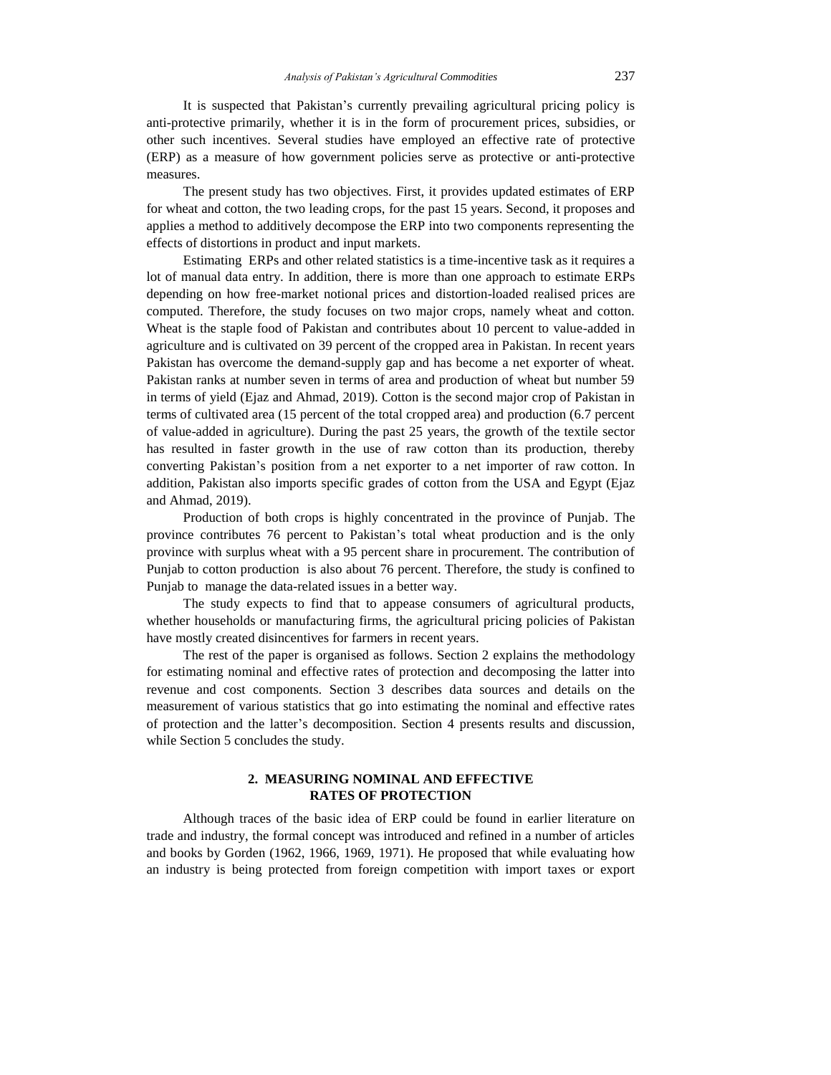It is suspected that Pakistan's currently prevailing agricultural pricing policy is anti-protective primarily, whether it is in the form of procurement prices, subsidies, or other such incentives. Several studies have employed an effective rate of protective (ERP) as a measure of how government policies serve as protective or anti-protective measures.

The present study has two objectives. First, it provides updated estimates of ERP for wheat and cotton, the two leading crops, for the past 15 years. Second, it proposes and applies a method to additively decompose the ERP into two components representing the effects of distortions in product and input markets.

Estimating ERPs and other related statistics is a time-incentive task as it requires a lot of manual data entry. In addition, there is more than one approach to estimate ERPs depending on how free-market notional prices and distortion-loaded realised prices are computed. Therefore, the study focuses on two major crops, namely wheat and cotton. Wheat is the staple food of Pakistan and contributes about 10 percent to value-added in agriculture and is cultivated on 39 percent of the cropped area in Pakistan. In recent years Pakistan has overcome the demand-supply gap and has become a net exporter of wheat. Pakistan ranks at number seven in terms of area and production of wheat but number 59 in terms of yield (Ejaz and Ahmad, 2019). Cotton is the second major crop of Pakistan in terms of cultivated area (15 percent of the total cropped area) and production (6.7 percent of value-added in agriculture). During the past 25 years, the growth of the textile sector has resulted in faster growth in the use of raw cotton than its production, thereby converting Pakistan's position from a net exporter to a net importer of raw cotton. In addition, Pakistan also imports specific grades of cotton from the USA and Egypt (Ejaz and Ahmad, 2019).

Production of both crops is highly concentrated in the province of Punjab. The province contributes 76 percent to Pakistan's total wheat production and is the only province with surplus wheat with a 95 percent share in procurement. The contribution of Punjab to cotton production is also about 76 percent. Therefore, the study is confined to Punjab to manage the data-related issues in a better way.

The study expects to find that to appease consumers of agricultural products, whether households or manufacturing firms, the agricultural pricing policies of Pakistan have mostly created disincentives for farmers in recent years.

The rest of the paper is organised as follows. Section 2 explains the methodology for estimating nominal and effective rates of protection and decomposing the latter into revenue and cost components. Section 3 describes data sources and details on the measurement of various statistics that go into estimating the nominal and effective rates of protection and the latter's decomposition. Section 4 presents results and discussion, while Section 5 concludes the study.

## **2. MEASURING NOMINAL AND EFFECTIVE RATES OF PROTECTION**

Although traces of the basic idea of ERP could be found in earlier literature on trade and industry, the formal concept was introduced and refined in a number of articles and books by Gorden (1962, 1966, 1969, 1971). He proposed that while evaluating how an industry is being protected from foreign competition with import taxes or export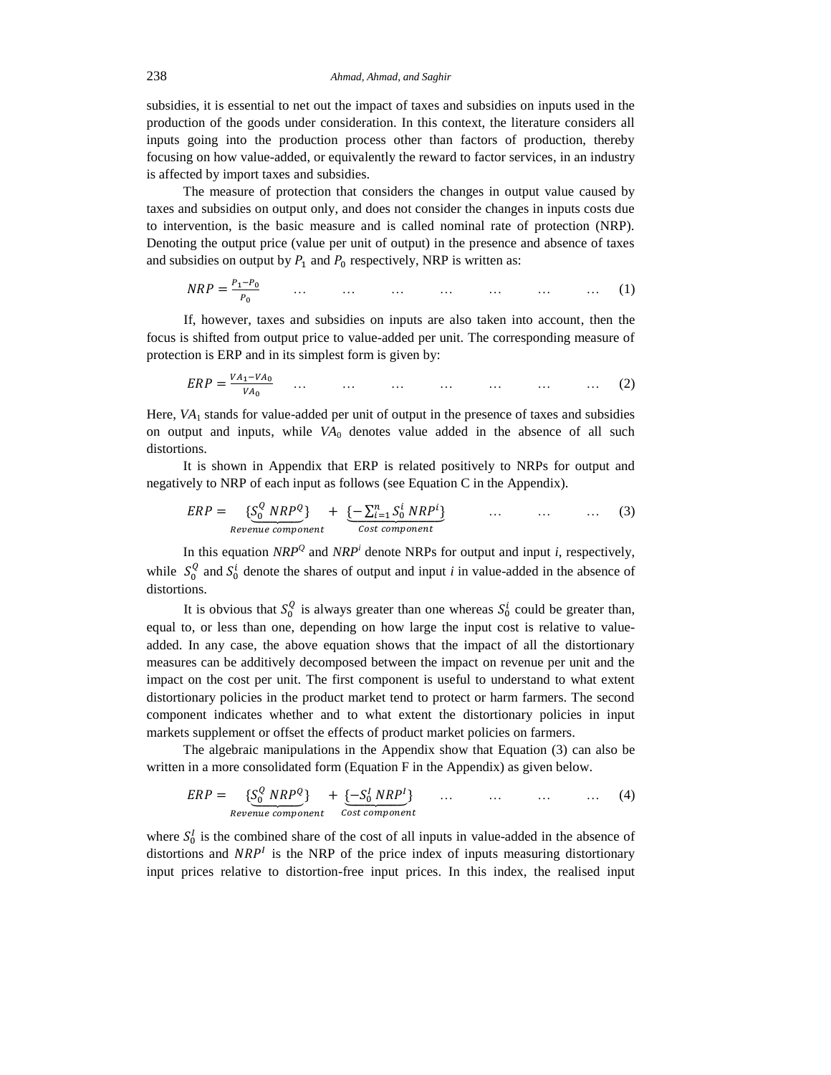subsidies, it is essential to net out the impact of taxes and subsidies on inputs used in the production of the goods under consideration. In this context, the literature considers all inputs going into the production process other than factors of production, thereby focusing on how value-added, or equivalently the reward to factor services, in an industry is affected by import taxes and subsidies.

The measure of protection that considers the changes in output value caused by taxes and subsidies on output only, and does not consider the changes in inputs costs due to intervention, is the basic measure and is called nominal rate of protection (NRP). Denoting the output price (value per unit of output) in the presence and absence of taxes and subsidies on output by  $P_1$  and  $P_0$  respectively, NRP is written as:

$$
NRP = \frac{P_1 - P_0}{P_0} \qquad \dots \qquad \dots \qquad \dots \qquad \dots \qquad \dots \qquad \dots \qquad \dots \qquad (1)
$$

If, however, taxes and subsidies on inputs are also taken into account, then the focus is shifted from output price to value-added per unit. The corresponding measure of protection is ERP and in its simplest form is given by:

$$
ERP = \frac{VA_1 - VA_0}{VA_0} \quad \dots \quad \dots \quad \dots \quad \dots \quad \dots \quad \dots \quad \dots \tag{2}
$$

Here, *VA*<sup>1</sup> stands for value-added per unit of output in the presence of taxes and subsidies on output and inputs, while  $VA<sub>0</sub>$  denotes value added in the absence of all such distortions.

It is shown in Appendix that ERP is related positively to NRPs for output and negatively to NRP of each input as follows (see Equation C in the Appendix).

$$
ERP = \underbrace{\{S_0^Q \ NRP^Q\}}_{Revenue\ component} + \underbrace{\{-\sum_{i=1}^n S_0^i \ NRP^i\}}_{Cost\ component} \qquad \dots \qquad \dots \qquad \dots \qquad (3)
$$

In this equation  $NRP^Q$  and  $NRP^i$  denote NRPs for output and input *i*, respectively, while  $S_0^Q$  and  $S_0^i$  denote the shares of output and input *i* in value-added in the absence of distortions.

It is obvious that  $S_0^Q$  is always greater than one whereas  $S_0^i$  could be greater than, equal to, or less than one, depending on how large the input cost is relative to valueadded. In any case, the above equation shows that the impact of all the distortionary measures can be additively decomposed between the impact on revenue per unit and the impact on the cost per unit. The first component is useful to understand to what extent distortionary policies in the product market tend to protect or harm farmers. The second component indicates whether and to what extent the distortionary policies in input markets supplement or offset the effects of product market policies on farmers.

The algebraic manipulations in the Appendix show that Equation (3) can also be written in a more consolidated form (Equation F in the Appendix) as given below.

$$
ERP = \underbrace{\{S_0^Q \text{ NRP}^Q\}}_{Revenue \text{ component}} + \underbrace{\{-S_0^I \text{ NRP}^I\}}_{Cost \text{ component}} \qquad \dots \qquad \dots \qquad \dots \qquad \dots \qquad (4)
$$

where  $S_0^I$  is the combined share of the cost of all inputs in value-added in the absence of distortions and  $NRP<sup>I</sup>$  is the NRP of the price index of inputs measuring distortionary input prices relative to distortion-free input prices. In this index, the realised input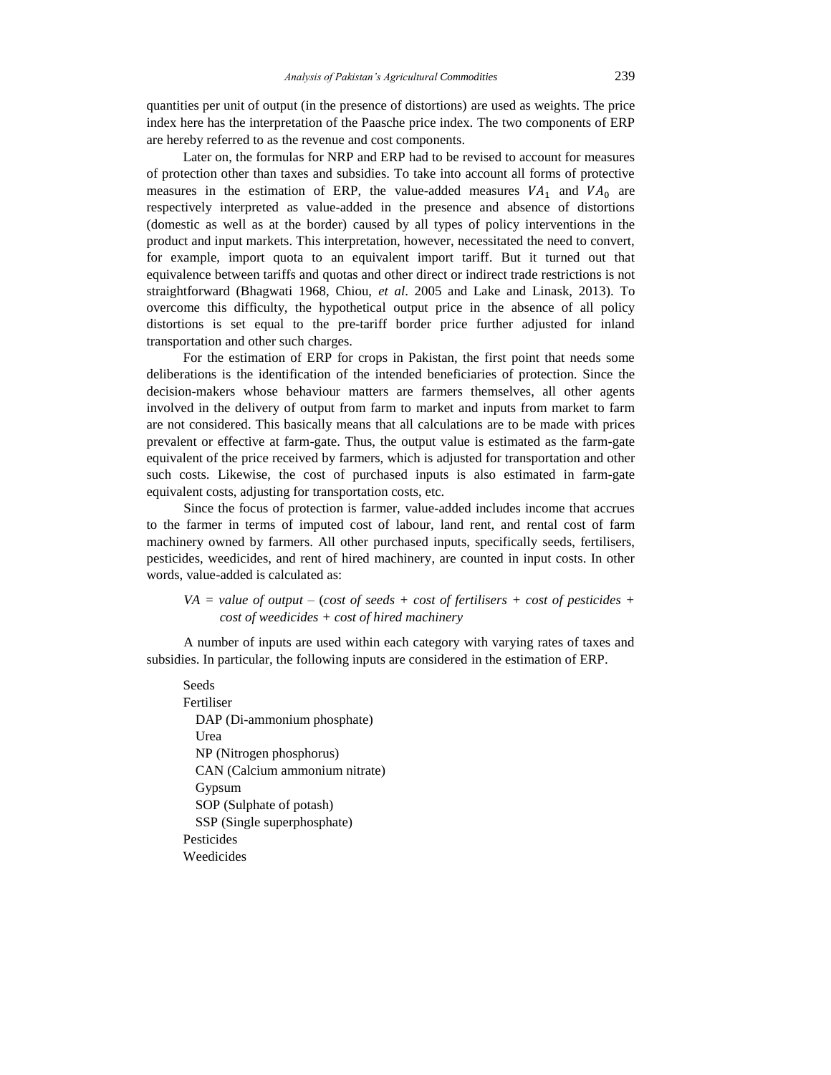quantities per unit of output (in the presence of distortions) are used as weights. The price index here has the interpretation of the Paasche price index. The two components of ERP are hereby referred to as the revenue and cost components.

Later on, the formulas for NRP and ERP had to be revised to account for measures of protection other than taxes and subsidies. To take into account all forms of protective measures in the estimation of ERP, the value-added measures  $VA<sub>1</sub>$  and  $VA<sub>0</sub>$  are respectively interpreted as value-added in the presence and absence of distortions (domestic as well as at the border) caused by all types of policy interventions in the product and input markets. This interpretation, however, necessitated the need to convert, for example, import quota to an equivalent import tariff. But it turned out that equivalence between tariffs and quotas and other direct or indirect trade restrictions is not straightforward (Bhagwati 1968, Chiou, *et al*. 2005 and Lake and Linask, 2013). To overcome this difficulty, the hypothetical output price in the absence of all policy distortions is set equal to the pre-tariff border price further adjusted for inland transportation and other such charges.

For the estimation of ERP for crops in Pakistan, the first point that needs some deliberations is the identification of the intended beneficiaries of protection. Since the decision-makers whose behaviour matters are farmers themselves, all other agents involved in the delivery of output from farm to market and inputs from market to farm are not considered. This basically means that all calculations are to be made with prices prevalent or effective at farm-gate. Thus, the output value is estimated as the farm-gate equivalent of the price received by farmers, which is adjusted for transportation and other such costs. Likewise, the cost of purchased inputs is also estimated in farm-gate equivalent costs, adjusting for transportation costs, etc.

Since the focus of protection is farmer, value-added includes income that accrues to the farmer in terms of imputed cost of labour, land rent, and rental cost of farm machinery owned by farmers. All other purchased inputs, specifically seeds, fertilisers, pesticides, weedicides, and rent of hired machinery, are counted in input costs. In other words, value-added is calculated as:

## *VA = value of output –* (*cost of seeds + cost of fertilisers + cost of pesticides + cost of weedicides + cost of hired machinery*

A number of inputs are used within each category with varying rates of taxes and subsidies. In particular, the following inputs are considered in the estimation of ERP.

Seeds Fertiliser DAP (Di-ammonium phosphate) Urea NP (Nitrogen phosphorus) CAN (Calcium ammonium nitrate) Gypsum SOP (Sulphate of potash) SSP (Single superphosphate) Pesticides Weedicides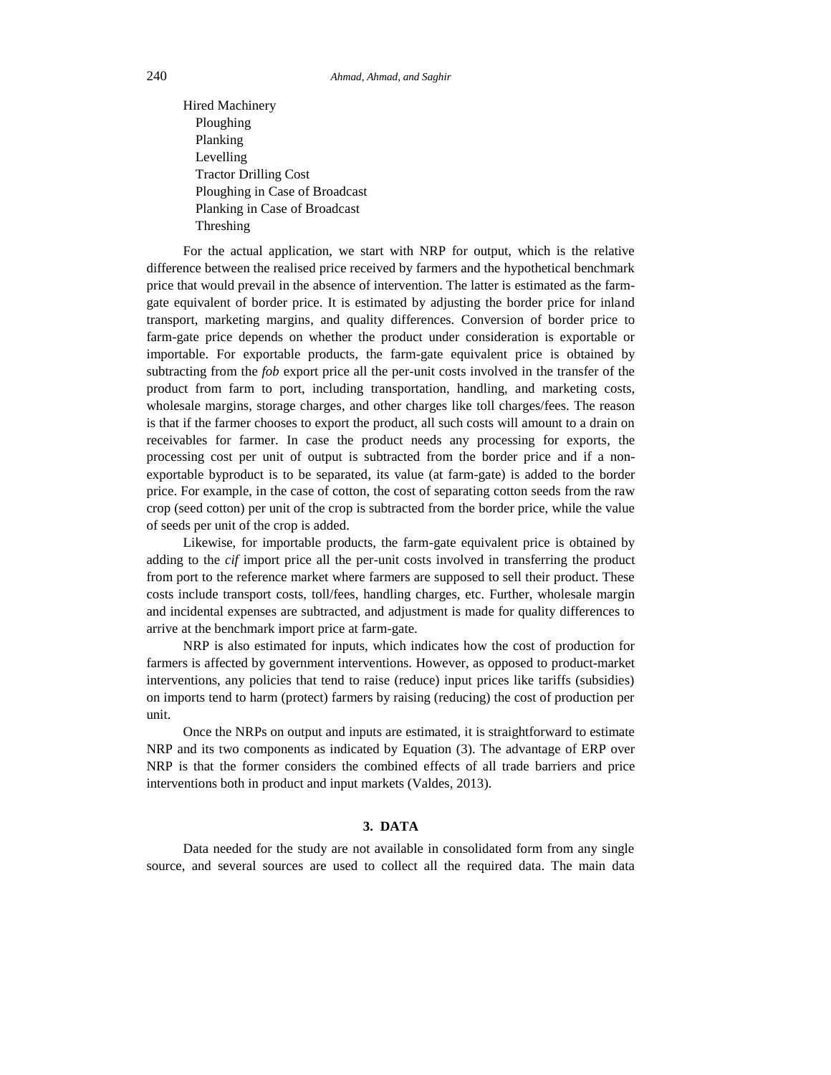Hired Machinery Ploughing Planking Levelling Tractor Drilling Cost Ploughing in Case of Broadcast Planking in Case of Broadcast Threshing

For the actual application, we start with NRP for output, which is the relative difference between the realised price received by farmers and the hypothetical benchmark price that would prevail in the absence of intervention. The latter is estimated as the farmgate equivalent of border price. It is estimated by adjusting the border price for inland transport, marketing margins, and quality differences. Conversion of border price to farm-gate price depends on whether the product under consideration is exportable or importable. For exportable products, the farm-gate equivalent price is obtained by subtracting from the *fob* export price all the per-unit costs involved in the transfer of the product from farm to port, including transportation, handling, and marketing costs, wholesale margins, storage charges, and other charges like toll charges/fees. The reason is that if the farmer chooses to export the product, all such costs will amount to a drain on receivables for farmer. In case the product needs any processing for exports, the processing cost per unit of output is subtracted from the border price and if a nonexportable byproduct is to be separated, its value (at farm-gate) is added to the border price. For example, in the case of cotton, the cost of separating cotton seeds from the raw crop (seed cotton) per unit of the crop is subtracted from the border price, while the value of seeds per unit of the crop is added.

Likewise, for importable products, the farm-gate equivalent price is obtained by adding to the *cif* import price all the per-unit costs involved in transferring the product from port to the reference market where farmers are supposed to sell their product. These costs include transport costs, toll/fees, handling charges, etc. Further, wholesale margin and incidental expenses are subtracted, and adjustment is made for quality differences to arrive at the benchmark import price at farm-gate.

NRP is also estimated for inputs, which indicates how the cost of production for farmers is affected by government interventions. However, as opposed to product-market interventions, any policies that tend to raise (reduce) input prices like tariffs (subsidies) on imports tend to harm (protect) farmers by raising (reducing) the cost of production per unit.

Once the NRPs on output and inputs are estimated, it is straightforward to estimate NRP and its two components as indicated by Equation (3). The advantage of ERP over NRP is that the former considers the combined effects of all trade barriers and price interventions both in product and input markets (Valdes, 2013).

#### **3. DATA**

Data needed for the study are not available in consolidated form from any single source, and several sources are used to collect all the required data. The main data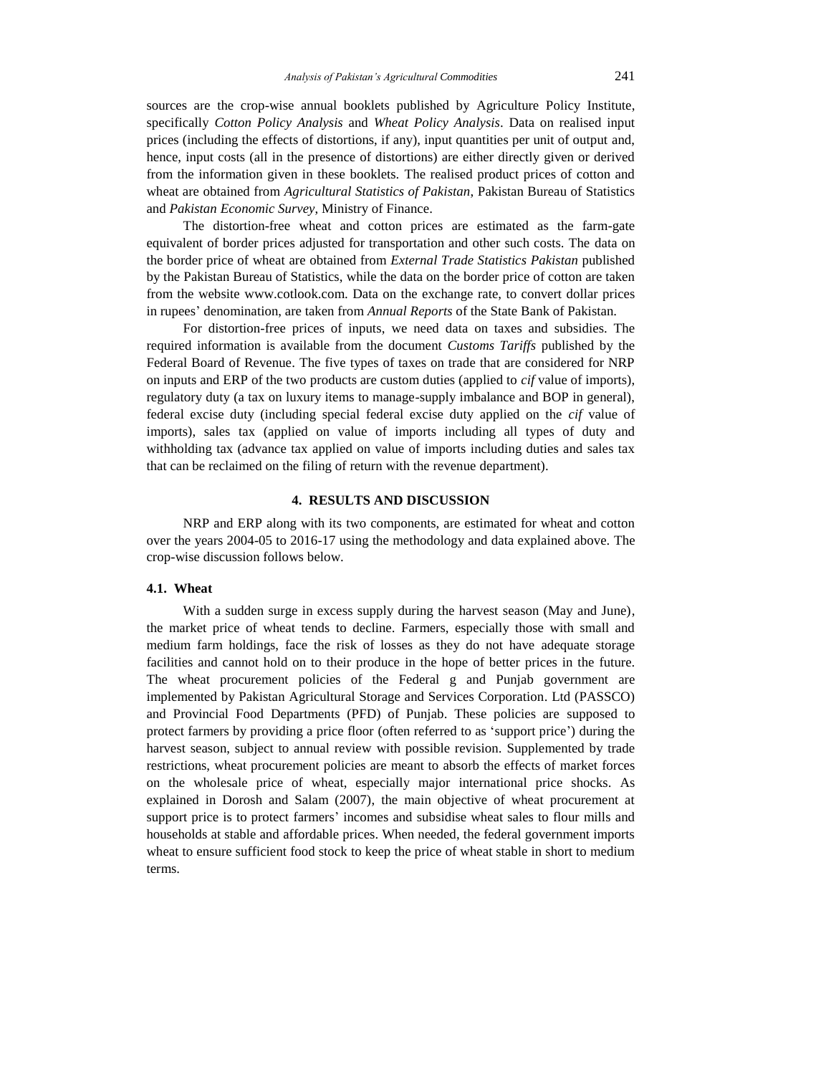sources are the crop-wise annual booklets published by Agriculture Policy Institute, specifically *Cotton Policy Analysis* and *Wheat Policy Analysis*. Data on realised input prices (including the effects of distortions, if any), input quantities per unit of output and, hence, input costs (all in the presence of distortions) are either directly given or derived from the information given in these booklets. The realised product prices of cotton and wheat are obtained from *Agricultural Statistics of Pakistan*, Pakistan Bureau of Statistics and *Pakistan Economic Survey*, Ministry of Finance.

The distortion-free wheat and cotton prices are estimated as the farm-gate equivalent of border prices adjusted for transportation and other such costs. The data on the border price of wheat are obtained from *External Trade Statistics Pakistan* published by the Pakistan Bureau of Statistics, while the data on the border price of cotton are taken from the website www.cotlook.com. Data on the exchange rate, to convert dollar prices in rupees' denomination, are taken from *Annual Reports* of the State Bank of Pakistan.

For distortion-free prices of inputs, we need data on taxes and subsidies. The required information is available from the document *Customs Tariffs* published by the Federal Board of Revenue. The five types of taxes on trade that are considered for NRP on inputs and ERP of the two products are custom duties (applied to *cif* value of imports), regulatory duty (a tax on luxury items to manage-supply imbalance and BOP in general), federal excise duty (including special federal excise duty applied on the *cif* value of imports), sales tax (applied on value of imports including all types of duty and withholding tax (advance tax applied on value of imports including duties and sales tax that can be reclaimed on the filing of return with the revenue department).

## **4. RESULTS AND DISCUSSION**

NRP and ERP along with its two components, are estimated for wheat and cotton over the years 2004-05 to 2016-17 using the methodology and data explained above. The crop-wise discussion follows below.

## **4.1. Wheat**

With a sudden surge in excess supply during the harvest season (May and June), the market price of wheat tends to decline. Farmers, especially those with small and medium farm holdings, face the risk of losses as they do not have adequate storage facilities and cannot hold on to their produce in the hope of better prices in the future. The wheat procurement policies of the Federal g and Punjab government are implemented by Pakistan Agricultural Storage and Services Corporation. Ltd (PASSCO) and Provincial Food Departments (PFD) of Punjab. These policies are supposed to protect farmers by providing a price floor (often referred to as 'support price') during the harvest season, subject to annual review with possible revision. Supplemented by trade restrictions, wheat procurement policies are meant to absorb the effects of market forces on the wholesale price of wheat, especially major international price shocks. As explained in Dorosh and Salam (2007), the main objective of wheat procurement at support price is to protect farmers' incomes and subsidise wheat sales to flour mills and households at stable and affordable prices. When needed, the federal government imports wheat to ensure sufficient food stock to keep the price of wheat stable in short to medium terms.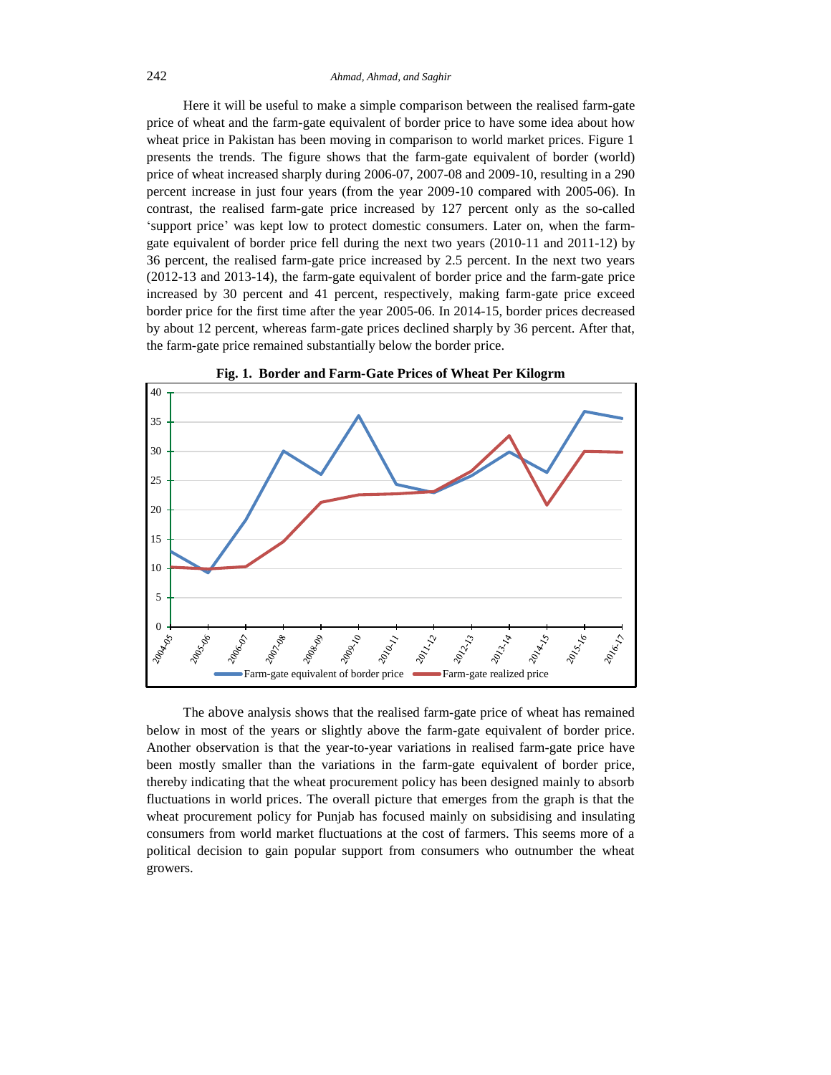Here it will be useful to make a simple comparison between the realised farm-gate price of wheat and the farm-gate equivalent of border price to have some idea about how wheat price in Pakistan has been moving in comparison to world market prices. Figure 1 presents the trends. The figure shows that the farm-gate equivalent of border (world) price of wheat increased sharply during 2006-07, 2007-08 and 2009-10, resulting in a 290 percent increase in just four years (from the year 2009-10 compared with 2005-06). In contrast, the realised farm-gate price increased by 127 percent only as the so-called 'support price' was kept low to protect domestic consumers. Later on, when the farmgate equivalent of border price fell during the next two years (2010-11 and 2011-12) by 36 percent, the realised farm-gate price increased by 2.5 percent. In the next two years (2012-13 and 2013-14), the farm-gate equivalent of border price and the farm-gate price increased by 30 percent and 41 percent, respectively, making farm-gate price exceed border price for the first time after the year 2005-06. In 2014-15, border prices decreased by about 12 percent, whereas farm-gate prices declined sharply by 36 percent. After that, the farm-gate price remained substantially below the border price.





The above analysis shows that the realised farm-gate price of wheat has remained below in most of the years or slightly above the farm-gate equivalent of border price. Another observation is that the year-to-year variations in realised farm-gate price have been mostly smaller than the variations in the farm-gate equivalent of border price, thereby indicating that the wheat procurement policy has been designed mainly to absorb fluctuations in world prices. The overall picture that emerges from the graph is that the wheat procurement policy for Punjab has focused mainly on subsidising and insulating consumers from world market fluctuations at the cost of farmers. This seems more of a political decision to gain popular support from consumers who outnumber the wheat growers.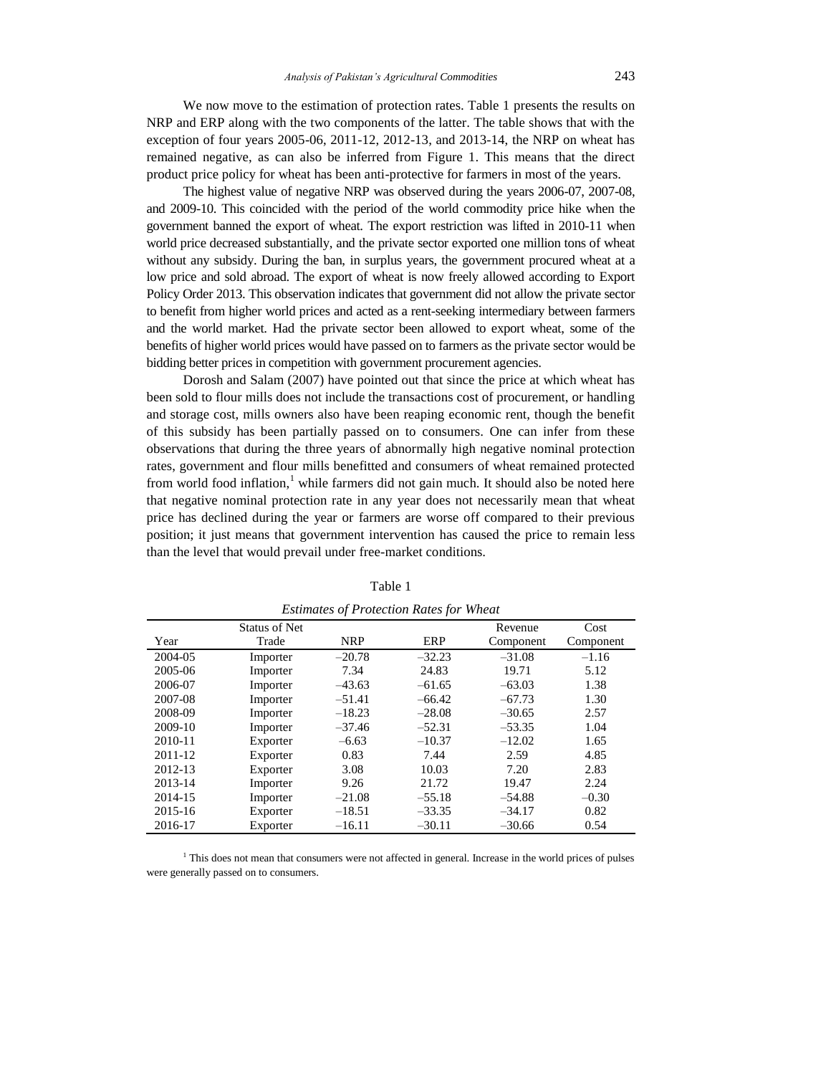We now move to the estimation of protection rates. Table 1 presents the results on NRP and ERP along with the two components of the latter. The table shows that with the exception of four years 2005-06, 2011-12, 2012-13, and 2013-14, the NRP on wheat has remained negative, as can also be inferred from Figure 1. This means that the direct product price policy for wheat has been anti-protective for farmers in most of the years.

The highest value of negative NRP was observed during the years 2006-07, 2007-08, and 2009-10. This coincided with the period of the world commodity price hike when the government banned the export of wheat. The export restriction was lifted in 2010-11 when world price decreased substantially, and the private sector exported one million tons of wheat without any subsidy. During the ban, in surplus years, the government procured wheat at a low price and sold abroad. The export of wheat is now freely allowed according to Export Policy Order 2013. This observation indicates that government did not allow the private sector to benefit from higher world prices and acted as a rent-seeking intermediary between farmers and the world market. Had the private sector been allowed to export wheat, some of the benefits of higher world prices would have passed on to farmers as the private sector would be bidding better prices in competition with government procurement agencies.

Dorosh and Salam (2007) have pointed out that since the price at which wheat has been sold to flour mills does not include the transactions cost of procurement, or handling and storage cost, mills owners also have been reaping economic rent, though the benefit of this subsidy has been partially passed on to consumers. One can infer from these observations that during the three years of abnormally high negative nominal protection rates, government and flour mills benefitted and consumers of wheat remained protected from world food inflation, $<sup>1</sup>$  while farmers did not gain much. It should also be noted here</sup> that negative nominal protection rate in any year does not necessarily mean that wheat price has declined during the year or farmers are worse off compared to their previous position; it just means that government intervention has caused the price to remain less than the level that would prevail under free-market conditions.

|         |               |            | Estimates of Protection Rates for Wheat |           |           |
|---------|---------------|------------|-----------------------------------------|-----------|-----------|
|         | Status of Net |            |                                         | Revenue   | Cost      |
| Year    | Trade         | <b>NRP</b> | ERP                                     | Component | Component |
| 2004-05 | Importer      | $-20.78$   | $-32.23$                                | $-31.08$  | $-1.16$   |
| 2005-06 | Importer      | 7.34       | 24.83                                   | 19.71     | 5.12      |
| 2006-07 | Importer      | $-43.63$   | $-61.65$                                | $-63.03$  | 1.38      |
| 2007-08 | Importer      | $-51.41$   | $-66.42$                                | $-67.73$  | 1.30      |
| 2008-09 | Importer      | $-18.23$   | $-28.08$                                | $-30.65$  | 2.57      |
| 2009-10 | Importer      | $-37.46$   | $-52.31$                                | $-53.35$  | 1.04      |
| 2010-11 | Exporter      | $-6.63$    | $-10.37$                                | $-12.02$  | 1.65      |
| 2011-12 | Exporter      | 0.83       | 7.44                                    | 2.59      | 4.85      |
| 2012-13 | Exporter      | 3.08       | 10.03                                   | 7.20      | 2.83      |
| 2013-14 | Importer      | 9.26       | 21.72                                   | 19.47     | 2.24      |
| 2014-15 | Importer      | $-21.08$   | $-55.18$                                | $-54.88$  | $-0.30$   |
| 2015-16 | Exporter      | $-18.51$   | $-33.35$                                | $-34.17$  | 0.82      |
| 2016-17 | Exporter      | $-16.11$   | $-30.11$                                | $-30.66$  | 0.54      |

Table 1 *Estimates of Protection Rates for Wheat*

<sup>1</sup> This does not mean that consumers were not affected in general. Increase in the world prices of pulses were generally passed on to consumers.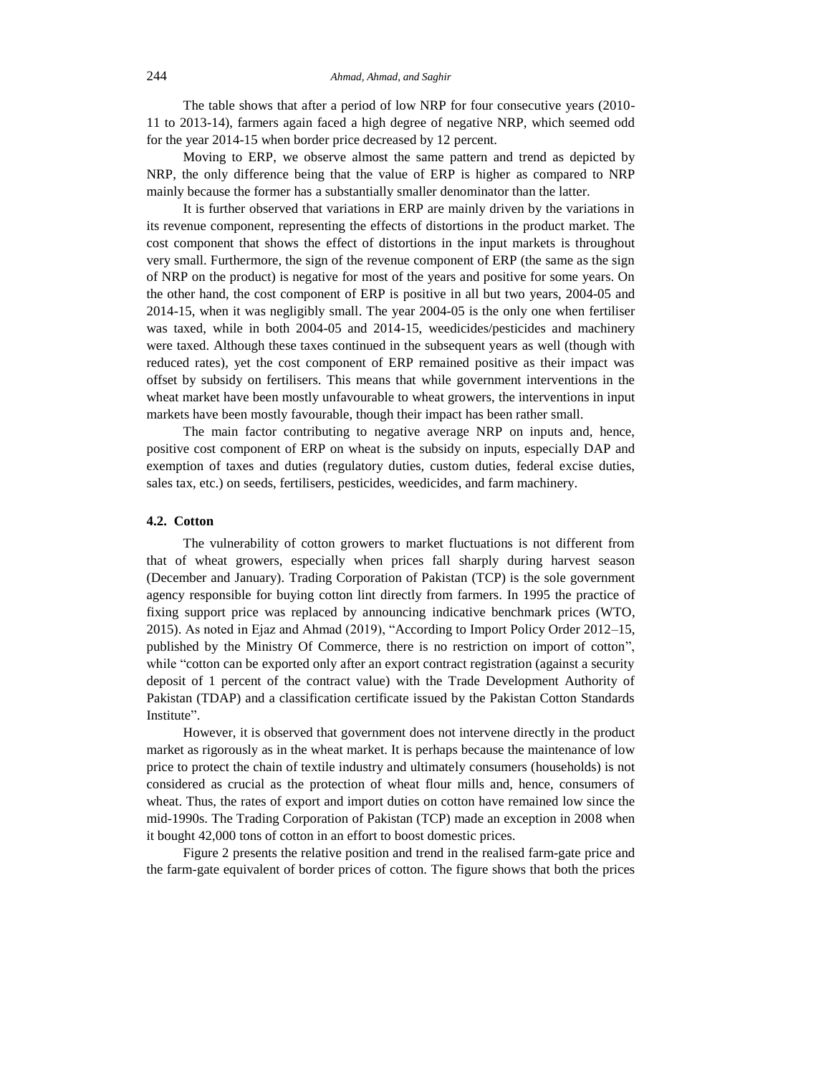The table shows that after a period of low NRP for four consecutive years (2010- 11 to 2013-14), farmers again faced a high degree of negative NRP, which seemed odd for the year 2014-15 when border price decreased by 12 percent.

Moving to ERP, we observe almost the same pattern and trend as depicted by NRP, the only difference being that the value of ERP is higher as compared to NRP mainly because the former has a substantially smaller denominator than the latter.

It is further observed that variations in ERP are mainly driven by the variations in its revenue component, representing the effects of distortions in the product market. The cost component that shows the effect of distortions in the input markets is throughout very small. Furthermore, the sign of the revenue component of ERP (the same as the sign of NRP on the product) is negative for most of the years and positive for some years. On the other hand, the cost component of ERP is positive in all but two years, 2004-05 and 2014-15, when it was negligibly small. The year 2004-05 is the only one when fertiliser was taxed, while in both 2004-05 and 2014-15, weedicides/pesticides and machinery were taxed. Although these taxes continued in the subsequent years as well (though with reduced rates), yet the cost component of ERP remained positive as their impact was offset by subsidy on fertilisers. This means that while government interventions in the wheat market have been mostly unfavourable to wheat growers, the interventions in input markets have been mostly favourable, though their impact has been rather small.

The main factor contributing to negative average NRP on inputs and, hence, positive cost component of ERP on wheat is the subsidy on inputs, especially DAP and exemption of taxes and duties (regulatory duties, custom duties, federal excise duties, sales tax, etc.) on seeds, fertilisers, pesticides, weedicides, and farm machinery.

#### **4.2. Cotton**

The vulnerability of cotton growers to market fluctuations is not different from that of wheat growers, especially when prices fall sharply during harvest season (December and January). Trading Corporation of Pakistan (TCP) is the sole government agency responsible for buying cotton lint directly from farmers. In 1995 the practice of fixing support price was replaced by announcing indicative benchmark prices (WTO, 2015). As noted in Ejaz and Ahmad (2019), "According to Import Policy Order 2012–15, published by the Ministry Of Commerce, there is no restriction on import of cotton", while "cotton can be exported only after an export contract registration (against a security deposit of 1 percent of the contract value) with the Trade Development Authority of Pakistan (TDAP) and a classification certificate issued by the Pakistan Cotton Standards Institute".

However, it is observed that government does not intervene directly in the product market as rigorously as in the wheat market. It is perhaps because the maintenance of low price to protect the chain of textile industry and ultimately consumers (households) is not considered as crucial as the protection of wheat flour mills and, hence, consumers of wheat. Thus, the rates of export and import duties on cotton have remained low since the mid-1990s. The Trading Corporation of Pakistan (TCP) made an exception in 2008 when it bought 42,000 tons of cotton in an effort to boost domestic prices.

Figure 2 presents the relative position and trend in the realised farm-gate price and the farm-gate equivalent of border prices of cotton. The figure shows that both the prices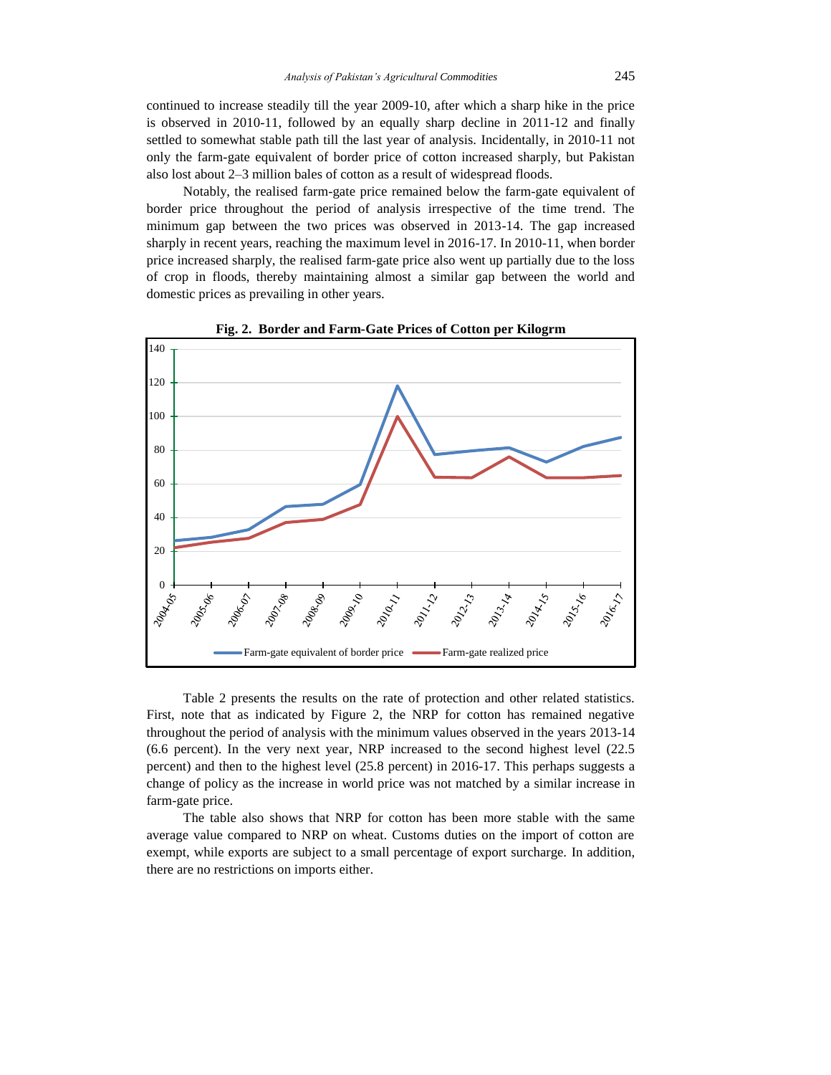continued to increase steadily till the year 2009-10, after which a sharp hike in the price is observed in 2010-11, followed by an equally sharp decline in 2011-12 and finally settled to somewhat stable path till the last year of analysis. Incidentally, in 2010-11 not only the farm-gate equivalent of border price of cotton increased sharply, but Pakistan also lost about 2–3 million bales of cotton as a result of widespread floods.

Notably, the realised farm-gate price remained below the farm-gate equivalent of border price throughout the period of analysis irrespective of the time trend. The minimum gap between the two prices was observed in 2013-14. The gap increased sharply in recent years, reaching the maximum level in 2016-17. In 2010-11, when border price increased sharply, the realised farm-gate price also went up partially due to the loss of crop in floods, thereby maintaining almost a similar gap between the world and domestic prices as prevailing in other years.



**Fig. 2. Border and Farm-Gate Prices of Cotton per Kilogrm**

Table 2 presents the results on the rate of protection and other related statistics. First, note that as indicated by Figure 2, the NRP for cotton has remained negative throughout the period of analysis with the minimum values observed in the years 2013-14 (6.6 percent). In the very next year, NRP increased to the second highest level (22.5 percent) and then to the highest level (25.8 percent) in 2016-17. This perhaps suggests a change of policy as the increase in world price was not matched by a similar increase in farm-gate price.

The table also shows that NRP for cotton has been more stable with the same average value compared to NRP on wheat. Customs duties on the import of cotton are exempt, while exports are subject to a small percentage of export surcharge. In addition, there are no restrictions on imports either.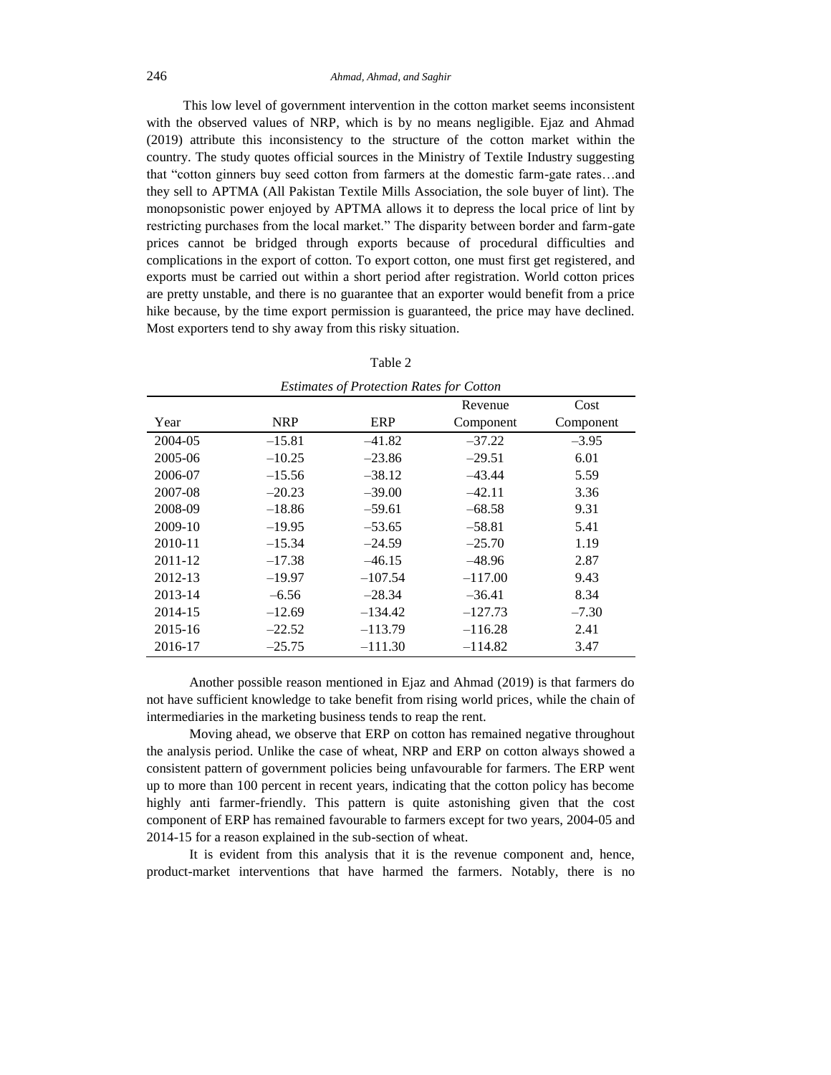This low level of government intervention in the cotton market seems inconsistent with the observed values of NRP, which is by no means negligible. Ejaz and Ahmad (2019) attribute this inconsistency to the structure of the cotton market within the country. The study quotes official sources in the Ministry of Textile Industry suggesting that "cotton ginners buy seed cotton from farmers at the domestic farm-gate rates…and they sell to APTMA (All Pakistan Textile Mills Association, the sole buyer of lint). The monopsonistic power enjoyed by APTMA allows it to depress the local price of lint by restricting purchases from the local market." The disparity between border and farm-gate prices cannot be bridged through exports because of procedural difficulties and complications in the export of cotton. To export cotton, one must first get registered, and exports must be carried out within a short period after registration. World cotton prices are pretty unstable, and there is no guarantee that an exporter would benefit from a price hike because, by the time export permission is guaranteed, the price may have declined. Most exporters tend to shy away from this risky situation.

|         |            | <b>Estimates of Protection Rates for Cotton</b> |           |           |
|---------|------------|-------------------------------------------------|-----------|-----------|
|         |            |                                                 | Revenue   | Cost      |
| Year    | <b>NRP</b> | ERP                                             | Component | Component |
| 2004-05 | $-15.81$   | $-41.82$                                        | $-37.22$  | $-3.95$   |
| 2005-06 | $-10.25$   | $-23.86$                                        | $-29.51$  | 6.01      |
| 2006-07 | $-15.56$   | $-38.12$                                        | $-43.44$  | 5.59      |
| 2007-08 | $-20.23$   | $-39.00$                                        | $-42.11$  | 3.36      |
| 2008-09 | $-18.86$   | $-59.61$                                        | $-68.58$  | 9.31      |
| 2009-10 | $-19.95$   | $-53.65$                                        | $-58.81$  | 5.41      |
| 2010-11 | $-15.34$   | $-24.59$                                        | $-25.70$  | 1.19      |
| 2011-12 | $-17.38$   | $-46.15$                                        | $-48.96$  | 2.87      |
| 2012-13 | $-19.97$   | $-107.54$                                       | $-117.00$ | 9.43      |
| 2013-14 | $-6.56$    | $-28.34$                                        | $-36.41$  | 8.34      |
| 2014-15 | $-12.69$   | $-134.42$                                       | $-127.73$ | $-7.30$   |
| 2015-16 | $-22.52$   | $-113.79$                                       | $-116.28$ | 2.41      |
| 2016-17 | $-25.75$   | $-111.30$                                       | $-114.82$ | 3.47      |

| ı٣<br>۹ |
|---------|
|---------|

Another possible reason mentioned in Ejaz and Ahmad (2019) is that farmers do not have sufficient knowledge to take benefit from rising world prices, while the chain of intermediaries in the marketing business tends to reap the rent.

Moving ahead, we observe that ERP on cotton has remained negative throughout the analysis period. Unlike the case of wheat, NRP and ERP on cotton always showed a consistent pattern of government policies being unfavourable for farmers. The ERP went up to more than 100 percent in recent years, indicating that the cotton policy has become highly anti farmer-friendly. This pattern is quite astonishing given that the cost component of ERP has remained favourable to farmers except for two years, 2004-05 and 2014-15 for a reason explained in the sub-section of wheat.

It is evident from this analysis that it is the revenue component and, hence, product-market interventions that have harmed the farmers. Notably, there is no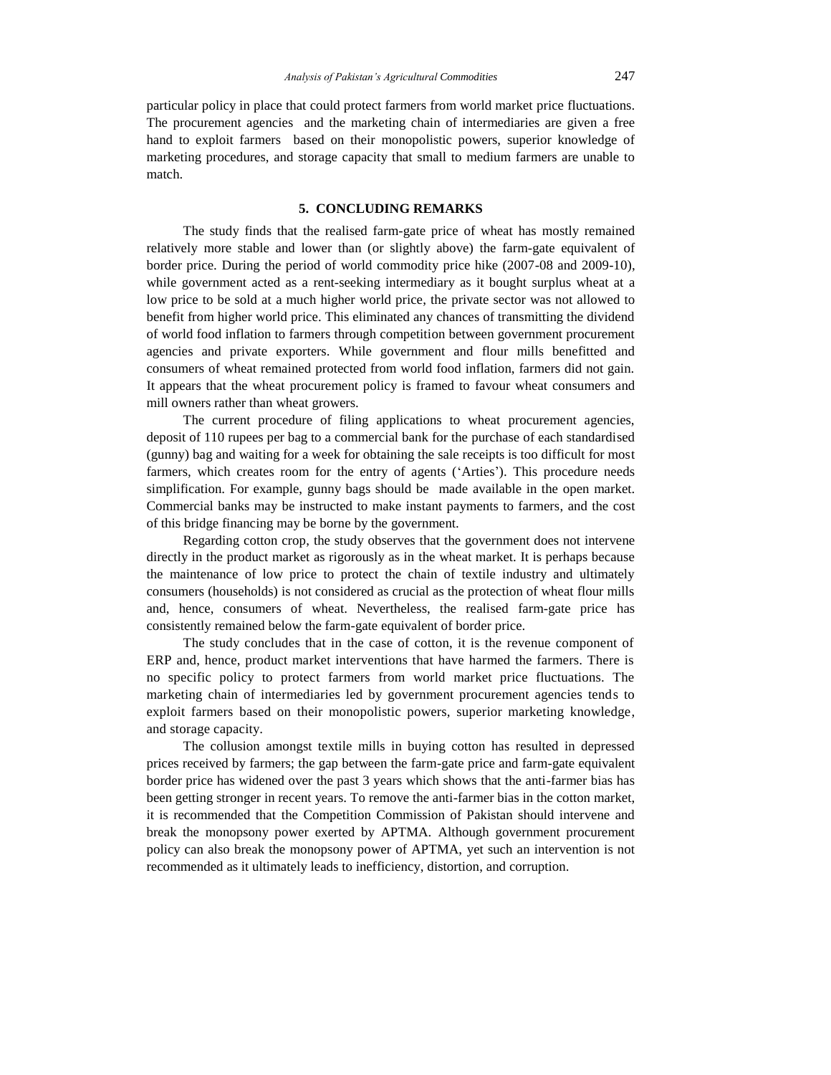particular policy in place that could protect farmers from world market price fluctuations. The procurement agencies and the marketing chain of intermediaries are given a free hand to exploit farmers based on their monopolistic powers, superior knowledge of marketing procedures, and storage capacity that small to medium farmers are unable to match.

## **5. CONCLUDING REMARKS**

The study finds that the realised farm-gate price of wheat has mostly remained relatively more stable and lower than (or slightly above) the farm-gate equivalent of border price. During the period of world commodity price hike (2007-08 and 2009-10), while government acted as a rent-seeking intermediary as it bought surplus wheat at a low price to be sold at a much higher world price, the private sector was not allowed to benefit from higher world price. This eliminated any chances of transmitting the dividend of world food inflation to farmers through competition between government procurement agencies and private exporters. While government and flour mills benefitted and consumers of wheat remained protected from world food inflation, farmers did not gain. It appears that the wheat procurement policy is framed to favour wheat consumers and mill owners rather than wheat growers.

The current procedure of filing applications to wheat procurement agencies, deposit of 110 rupees per bag to a commercial bank for the purchase of each standardised (gunny) bag and waiting for a week for obtaining the sale receipts is too difficult for most farmers, which creates room for the entry of agents ('Arties'). This procedure needs simplification. For example, gunny bags should be made available in the open market. Commercial banks may be instructed to make instant payments to farmers, and the cost of this bridge financing may be borne by the government.

Regarding cotton crop, the study observes that the government does not intervene directly in the product market as rigorously as in the wheat market. It is perhaps because the maintenance of low price to protect the chain of textile industry and ultimately consumers (households) is not considered as crucial as the protection of wheat flour mills and, hence, consumers of wheat. Nevertheless, the realised farm-gate price has consistently remained below the farm-gate equivalent of border price.

The study concludes that in the case of cotton, it is the revenue component of ERP and, hence, product market interventions that have harmed the farmers. There is no specific policy to protect farmers from world market price fluctuations. The marketing chain of intermediaries led by government procurement agencies tends to exploit farmers based on their monopolistic powers, superior marketing knowledge, and storage capacity.

The collusion amongst textile mills in buying cotton has resulted in depressed prices received by farmers; the gap between the farm-gate price and farm-gate equivalent border price has widened over the past 3 years which shows that the anti-farmer bias has been getting stronger in recent years. To remove the anti-farmer bias in the cotton market, it is recommended that the Competition Commission of Pakistan should intervene and break the monopsony power exerted by APTMA. Although government procurement policy can also break the monopsony power of APTMA, yet such an intervention is not recommended as it ultimately leads to inefficiency, distortion, and corruption.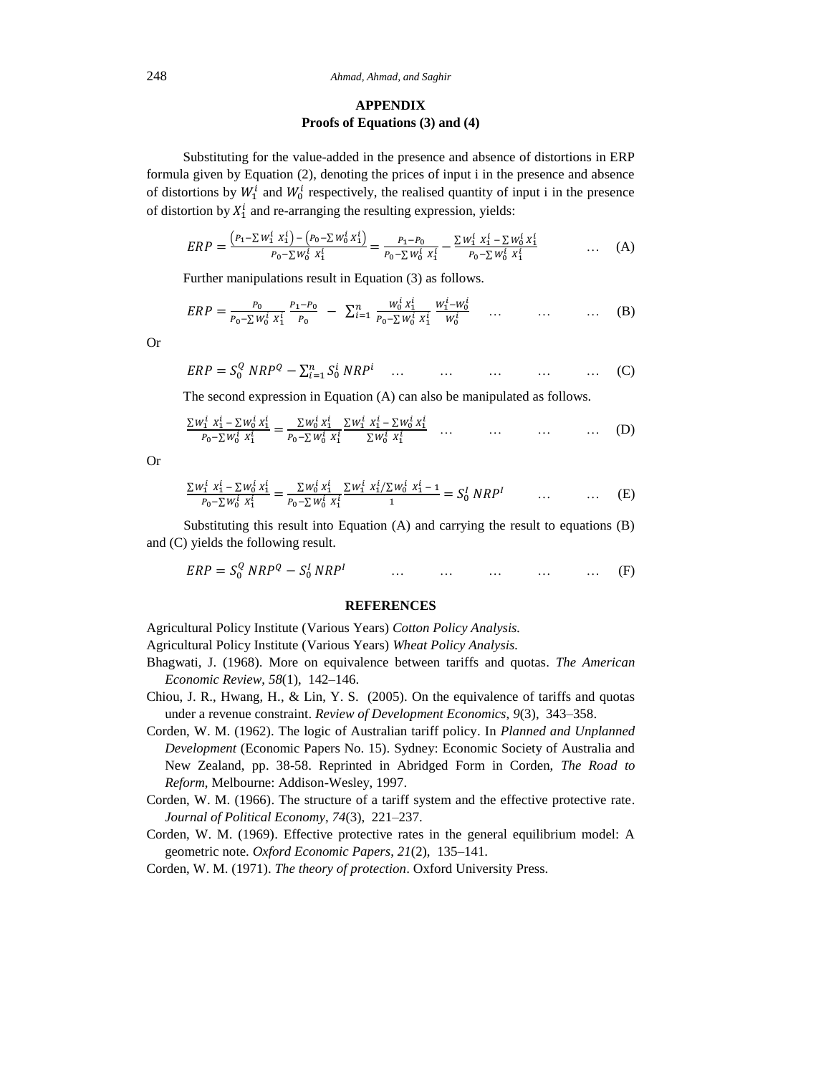## **APPENDIX Proofs of Equations (3) and (4)**

Substituting for the value-added in the presence and absence of distortions in ERP formula given by Equation (2), denoting the prices of input i in the presence and absence of distortions by  $W_1^i$  and  $W_0^i$  respectively, the realised quantity of input i in the presence of distortion by  $X_1^i$  and re-arranging the resulting expression, yields:

$$
ERP = \frac{(P_1 - \sum w_1^i x_1^i) - (P_0 - \sum w_0^i x_1^i)}{P_0 - \sum w_0^i x_1^i} = \frac{P_1 - P_0}{P_0 - \sum w_0^i x_1^i} - \frac{\sum w_1^i x_1^i - \sum w_0^i x_1^i}{P_0 - \sum w_0^i x_1^i} \qquad \qquad \dots \quad (A)
$$

Further manipulations result in Equation (3) as follows.

$$
ERP = \frac{P_0}{P_0 - \sum W_0^i X_1^i} \frac{P_1 - P_0}{P_0} - \sum_{i=1}^n \frac{W_0^i X_1^i}{P_0 - \sum W_0^i X_1^i} \frac{W_1^i - W_0^i}{W_0^i} \dots \dots \dots \dots \tag{B}
$$

Or

$$
ERP = S_0^Q \ NRP^Q - \sum_{i=1}^n S_0^i \ NRP^i \quad \dots \quad \dots \quad \dots \quad \dots \quad \dots \quad \dots \tag{C}
$$

The second expression in Equation (A) can also be manipulated as follows.

∑ ∑ ∑ ∑ ∑ ∑ ∑ ∑ … … … … (D)

Or

$$
\frac{\sum w_1^i x_1^i - \sum w_0^i x_1^i}{P_0 - \sum w_0^i x_1^i} = \frac{\sum w_0^i x_1^i}{P_0 - \sum w_0^i x_1^i} \frac{\sum w_1^i x_1^i / \sum w_0^i x_1^i - 1}{1} = S_0^I NRP^I \qquad \dots \qquad \dots \qquad (E)
$$

Substituting this result into Equation (A) and carrying the result to equations (B) and (C) yields the following result.

$$
ERP = S_0^Q \ NRP^Q - S_0^I \ NRP^I \qquad \qquad \dots \qquad \dots \qquad \dots \qquad \dots \qquad \dots \qquad (F)
$$

#### **REFERENCES**

Agricultural Policy Institute (Various Years) *Cotton Policy Analysis.*

- Agricultural Policy Institute (Various Years) *Wheat Policy Analysis.*
- Bhagwati, J. (1968). More on equivalence between tariffs and quotas. *The American Economic Review*, *58*(1), 142–146.
- Chiou, J. R., Hwang, H., & Lin, Y. S. (2005). On the equivalence of tariffs and quotas under a revenue constraint. *Review of Development Economics*, *9*(3), 343–358.
- Corden, W. M. (1962). The logic of Australian tariff policy. In *Planned and Unplanned Development* (Economic Papers No. 15). Sydney: Economic Society of Australia and New Zealand, pp. 38-58. Reprinted in Abridged Form in Corden, *The Road to Reform*, Melbourne: Addison-Wesley, 1997.
- Corden, W. M. (1966). The structure of a tariff system and the effective protective rate. *Journal of Political Economy*, *74*(3), 221–237.
- Corden, W. M. (1969). Effective protective rates in the general equilibrium model: A geometric note. *Oxford Economic Papers*, *21*(2), 135–141.

Corden, W. M. (1971). *The theory of protection*. Oxford University Press.